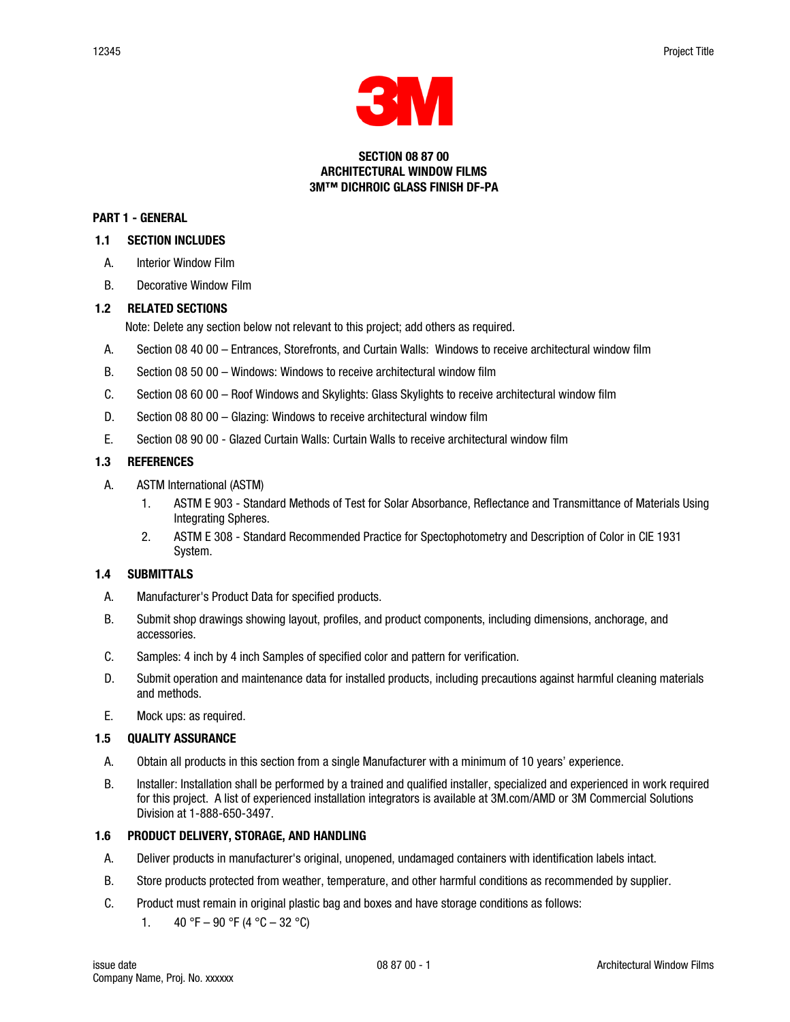

#### SECTION 08 87 00 ARCHITECTURAL WINDOW FILMS 3M™ DICHROIC GLASS FINISH DF-PA

#### PART 1 - GENERAL

### 1.1 SECTION INCLUDES

- A. Interior Window Film
- B. Decorative Window Film

# 1.2 RELATED SECTIONS

Note: Delete any section below not relevant to this project; add others as required.

- A. Section 08 40 00 Entrances, Storefronts, and Curtain Walls: Windows to receive architectural window film
- B. Section 08 50 00 Windows: Windows to receive architectural window film
- C. Section 08 60 00 Roof Windows and Skylights: Glass Skylights to receive architectural window film
- D. Section 08 80 00 Glazing: Windows to receive architectural window film
- E. Section 08 90 00 Glazed Curtain Walls: Curtain Walls to receive architectural window film

# 1.3 REFERENCES

- A. ASTM International (ASTM)
	- 1. ASTM E 903 Standard Methods of Test for Solar Absorbance, Reflectance and Transmittance of Materials Using Integrating Spheres.
	- 2. ASTM E 308 Standard Recommended Practice for Spectophotometry and Description of Color in CIE 1931 System.

# 1.4 SUBMITTALS

- A. Manufacturer's Product Data for specified products.
- B. Submit shop drawings showing layout, profiles, and product components, including dimensions, anchorage, and accessories.
- C. Samples: 4 inch by 4 inch Samples of specified color and pattern for verification.
- D. Submit operation and maintenance data for installed products, including precautions against harmful cleaning materials and methods.
- E. Mock ups: as required.

# 1.5 QUALITY ASSURANCE

- A. Obtain all products in this section from a single Manufacturer with a minimum of 10 years' experience.
- B. Installer: Installation shall be performed by a trained and qualified installer, specialized and experienced in work required for this project. A list of experienced installation integrators is available at 3M.com/AMD or 3M Commercial Solutions Division at 1-888-650-3497.

# 1.6 PRODUCT DELIVERY, STORAGE, AND HANDLING

- A. Deliver products in manufacturer's original, unopened, undamaged containers with identification labels intact.
- B. Store products protected from weather, temperature, and other harmful conditions as recommended by supplier.
- C. Product must remain in original plastic bag and boxes and have storage conditions as follows:
	- 1.  $40 °F 90 °F (4 °C 32 °C)$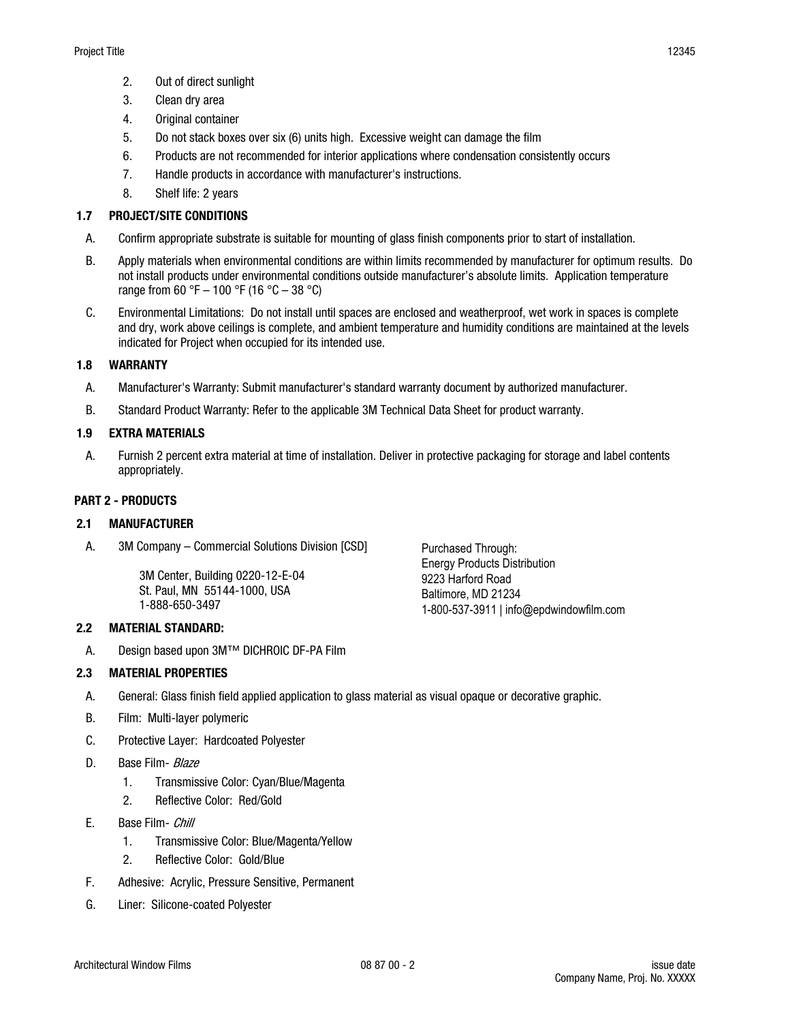- 2. Out of direct sunlight
- 3. Clean dry area
- 4. Original container
- 5. Do not stack boxes over six (6) units high. Excessive weight can damage the film
- 6. Products are not recommended for interior applications where condensation consistently occurs
- 7. Handle products in accordance with manufacturer's instructions.
- 8. Shelf life: 2 years

# 1.7 PROJECT/SITE CONDITIONS

- A. Confirm appropriate substrate is suitable for mounting of glass finish components prior to start of installation.
- B. Apply materials when environmental conditions are within limits recommended by manufacturer for optimum results. Do not install products under environmental conditions outside manufacturer's absolute limits. Application temperature range from 60 °F – 100 °F (16 °C – 38 °C)
- C. Environmental Limitations: Do not install until spaces are enclosed and weatherproof, wet work in spaces is complete and dry, work above ceilings is complete, and ambient temperature and humidity conditions are maintained at the levels indicated for Project when occupied for its intended use.

# 1.8 WARRANTY

- A. Manufacturer's Warranty: Submit manufacturer's standard warranty document by authorized manufacturer.
- B. Standard Product Warranty: Refer to the applicable 3M Technical Data Sheet for product warranty.

# 1.9 EXTRA MATERIALS

A. Furnish 2 percent extra material at time of installation. Deliver in protective packaging for storage and label contents appropriately.

# PART 2 - PRODUCTS

# 2.1 MANUFACTURER

A. 3M Company – Commercial Solutions Division [CSD]

3M Center, Building 0220-12-E-04 St. Paul, MN 55144-1000, USA 1-888-650-3497

# 2.2 MATERIAL STANDARD:

A. Design based upon 3M™ DICHROIC DF-PA Film

# 2.3 MATERIAL PROPERTIES

- A. General: Glass finish field applied application to glass material as visual opaque or decorative graphic.
- B. Film: Multi-layer polymeric
- C. Protective Layer: Hardcoated Polyester
- D. Base Film- Blaze
	- 1. Transmissive Color: Cyan/Blue/Magenta
	- 2. Reflective Color: Red/Gold
- E. Base Film- Chill
	- 1. Transmissive Color: Blue/Magenta/Yellow
	- 2. Reflective Color: Gold/Blue
- F. Adhesive: Acrylic, Pressure Sensitive, Permanent
- G. Liner: Silicone-coated Polyester

Purchased Through: Energy Products Distribution 9223 Harford Road Baltimore, MD 21234 1-800-537-3911 | info@epdwindowfilm.com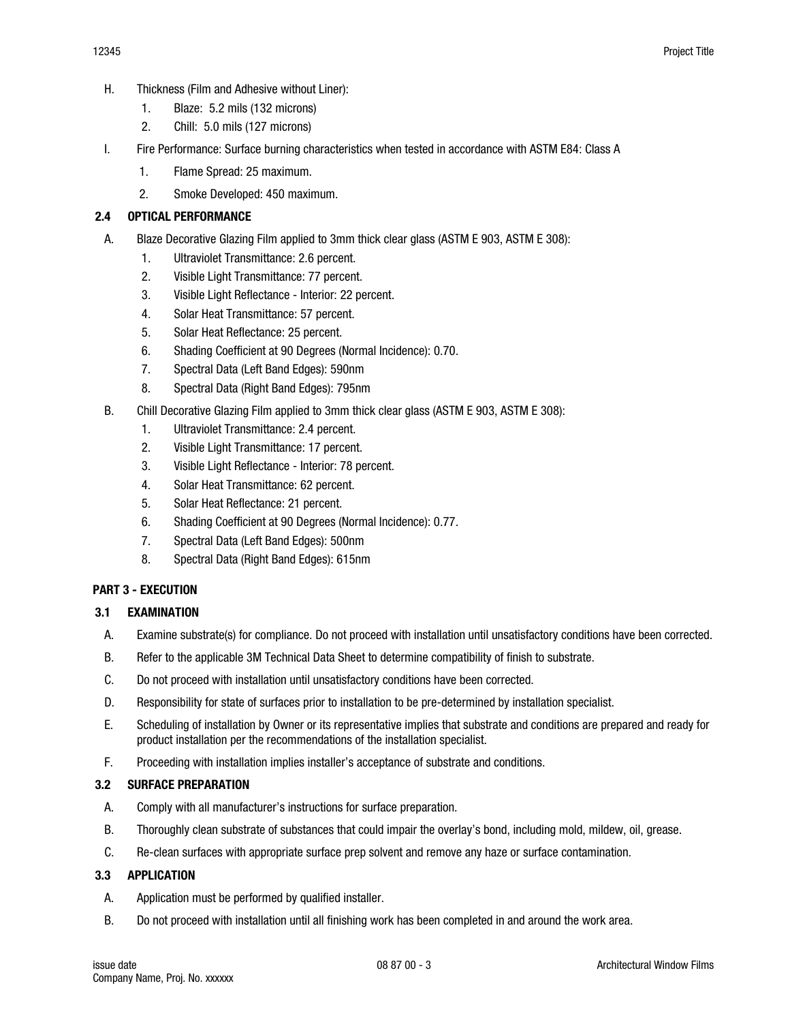- 1. Blaze: 5.2 mils (132 microns)
- 2. Chill: 5.0 mils (127 microns)
- I. Fire Performance: Surface burning characteristics when tested in accordance with ASTM E84: Class A
	- 1. Flame Spread: 25 maximum.
	- 2. Smoke Developed: 450 maximum.

# 2.4 OPTICAL PERFORMANCE

- A. Blaze Decorative Glazing Film applied to 3mm thick clear glass (ASTM E 903, ASTM E 308):
	- 1. Ultraviolet Transmittance: 2.6 percent.
	- 2. Visible Light Transmittance: 77 percent.
	- 3. Visible Light Reflectance Interior: 22 percent.
	- 4. Solar Heat Transmittance: 57 percent.
	- 5. Solar Heat Reflectance: 25 percent.
	- 6. Shading Coefficient at 90 Degrees (Normal Incidence): 0.70.
	- 7. Spectral Data (Left Band Edges): 590nm
	- 8. Spectral Data (Right Band Edges): 795nm
- B. Chill Decorative Glazing Film applied to 3mm thick clear glass (ASTM E 903, ASTM E 308):
	- 1. Ultraviolet Transmittance: 2.4 percent.
	- 2. Visible Light Transmittance: 17 percent.
	- 3. Visible Light Reflectance Interior: 78 percent.
	- 4. Solar Heat Transmittance: 62 percent.
	- 5. Solar Heat Reflectance: 21 percent.
	- 6. Shading Coefficient at 90 Degrees (Normal Incidence): 0.77.
	- 7. Spectral Data (Left Band Edges): 500nm
	- 8. Spectral Data (Right Band Edges): 615nm

# PART 3 - EXECUTION

# 3.1 EXAMINATION

- A. Examine substrate(s) for compliance. Do not proceed with installation until unsatisfactory conditions have been corrected.
- B. Refer to the applicable 3M Technical Data Sheet to determine compatibility of finish to substrate.
- C. Do not proceed with installation until unsatisfactory conditions have been corrected.
- D. Responsibility for state of surfaces prior to installation to be pre-determined by installation specialist.
- E. Scheduling of installation by Owner or its representative implies that substrate and conditions are prepared and ready for product installation per the recommendations of the installation specialist.
- F. Proceeding with installation implies installer's acceptance of substrate and conditions.

# 3.2 SURFACE PREPARATION

- A. Comply with all manufacturer's instructions for surface preparation.
- B. Thoroughly clean substrate of substances that could impair the overlay's bond, including mold, mildew, oil, grease.
- C. Re-clean surfaces with appropriate surface prep solvent and remove any haze or surface contamination.

# 3.3 APPLICATION

- A. Application must be performed by qualified installer.
- B. Do not proceed with installation until all finishing work has been completed in and around the work area.